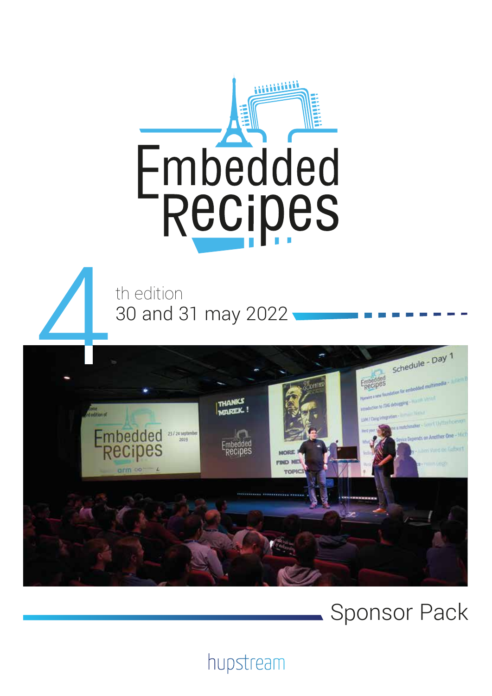

th edition 30 and 31 may 2022



# Sponsor Pack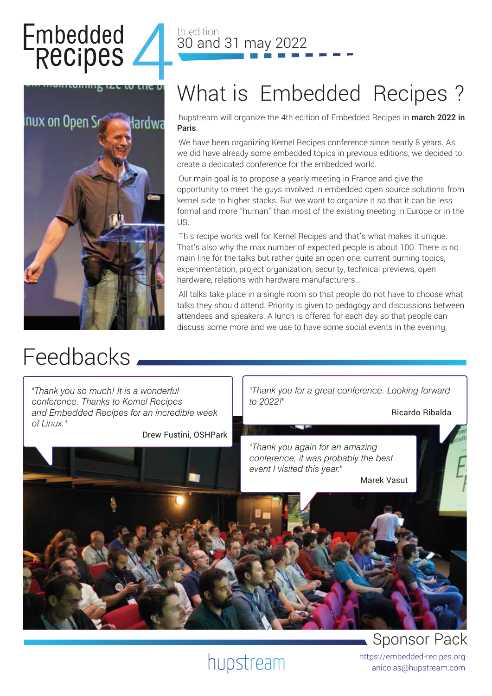# Embedded<br>Recipes



# Feedbacks

#### th edition 30 and 31 may 2022

# What is Embedded Recipes ?

hupstream will organize the 4th edition of Embedded Recipes in march 2022 in Paris.

We have been organizing Kernel Recipes conference since nearly 8 years. As we did have already some embedded topics in previous editions, we decided to create a dedicated conference for the embedded world.

Our main goal is to propose a yearly meeting in France and give the opportunity to meet the guys involved in embedded open source solutions from kernel side to higher stacks. But we want to organize it so that it can be less formal and more "human" than most of the existing meeting in Europe or in the US.

This recipe works well for Kernel Recipes and that's what makes it unique. That's also why the max number of expected people is about 100. There is no main line for the talks but rather quite an open one: current burning topics, experimentation, project organization, security, technical previews, open hardware, relations with hardware manufacturers...

All talks take place in a single room so that people do not have to choose what talks they should attend. Priority is given to pedagogy and discussions between attendees and speakers. A lunch is offered for each day so that people can discuss some more and we use to have some social events in the evening.



# Sponsor Pack

https://embedded-recipes.org anicolas@hupstream.com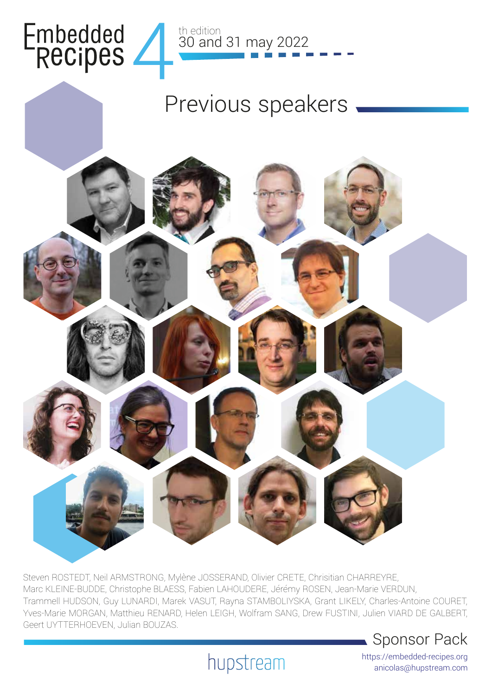



# Previous speakers



Steven ROSTEDT, Neil ARMSTRONG, Mylène JOSSERAND, Olivier CRETE, Chrisitian CHARREYRE, Marc KLEINE-BUDDE, Christophe BLAESS, Fabien LAHOUDERE, Jérémy ROSEN, Jean-Marie VERDUN, Trammell HUDSON, Guy LUNARDI, Marek VASUT, Rayna STAMBOLIYSKA, Grant LIKELY, Charles-Antoine COURET, Yves-Marie MORGAN, Matthieu RENARD, Helen LEIGH, Wolfram SANG, Drew FUSTINI, Julien VIARD DE GALBERT, Geert UYTTERHOEVEN, Julian BOUZAS.



hupstream

https://embedded-recipes.org anicolas@hupstream.com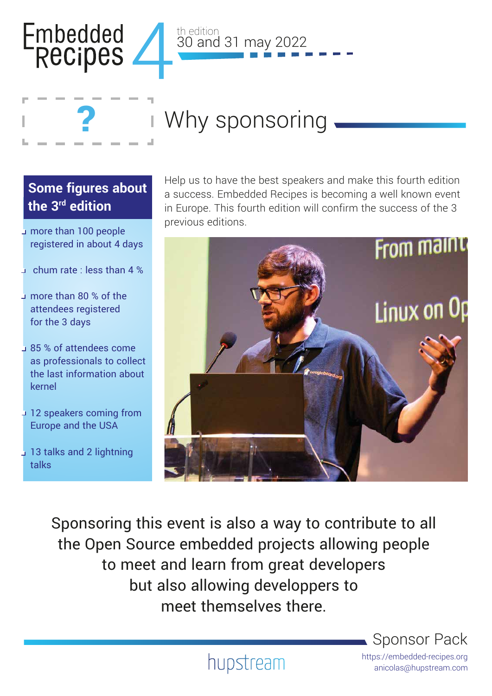



30 and 31 may 2022

th edition

#### **Some figures about the 3rd edition**

?

- more than 100 people registered in about 4 days
- $\overline{\phantom{a}}$  chum rate : less than 4 %
- more than 80 % of the attendees registered for the 3 days
- 85 % of attendees come as professionals to collect the last information about kernel
- 12 speakers coming from Europe and the USA
- 13 talks and 2 lightning talks

Help us to have the best speakers and make this fourth edition a success. Embedded Recipes is becoming a well known event in Europe. This fourth edition will confirm the success of the 3 previous editions.



Sponsoring this event is also a way to contribute to all the Open Source embedded projects allowing people to meet and learn from great developers but also allowing developpers to meet themselves there.

Sponsor Pack

https://embedded-recipes.org anicolas@hupstream.com